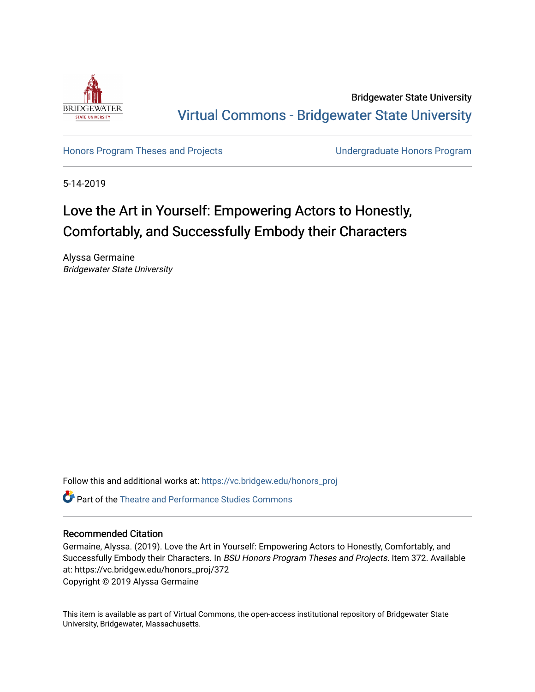

Bridgewater State University [Virtual Commons - Bridgewater State University](https://vc.bridgew.edu/) 

[Honors Program Theses and Projects](https://vc.bridgew.edu/honors_proj) [Undergraduate Honors Program](https://vc.bridgew.edu/honors) 

5-14-2019

# Love the Art in Yourself: Empowering Actors to Honestly, Comfortably, and Successfully Embody their Characters

Alyssa Germaine Bridgewater State University

Follow this and additional works at: [https://vc.bridgew.edu/honors\\_proj](https://vc.bridgew.edu/honors_proj?utm_source=vc.bridgew.edu%2Fhonors_proj%2F372&utm_medium=PDF&utm_campaign=PDFCoverPages)

Part of the [Theatre and Performance Studies Commons](http://network.bepress.com/hgg/discipline/552?utm_source=vc.bridgew.edu%2Fhonors_proj%2F372&utm_medium=PDF&utm_campaign=PDFCoverPages) 

# Recommended Citation

Germaine, Alyssa. (2019). Love the Art in Yourself: Empowering Actors to Honestly, Comfortably, and Successfully Embody their Characters. In BSU Honors Program Theses and Projects. Item 372. Available at: https://vc.bridgew.edu/honors\_proj/372 Copyright © 2019 Alyssa Germaine

This item is available as part of Virtual Commons, the open-access institutional repository of Bridgewater State University, Bridgewater, Massachusetts.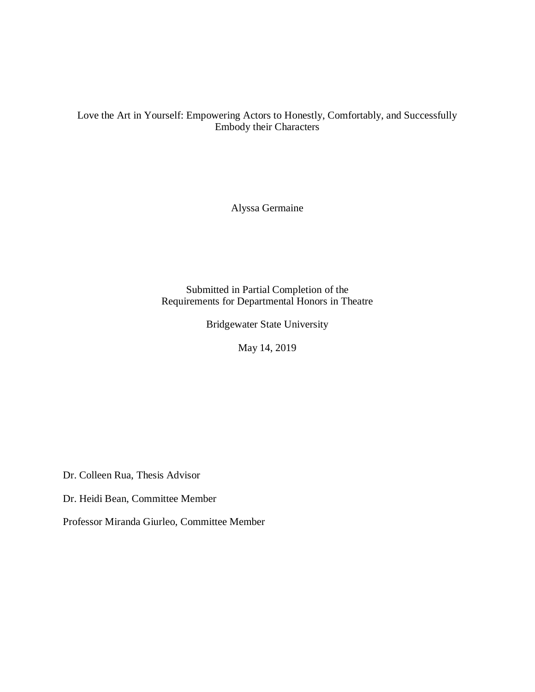Love the Art in Yourself: Empowering Actors to Honestly, Comfortably, and Successfully Embody their Characters

Alyssa Germaine

Submitted in Partial Completion of the Requirements for Departmental Honors in Theatre

Bridgewater State University

May 14, 2019

Dr. Colleen Rua, Thesis Advisor

Dr. Heidi Bean, Committee Member

Professor Miranda Giurleo, Committee Member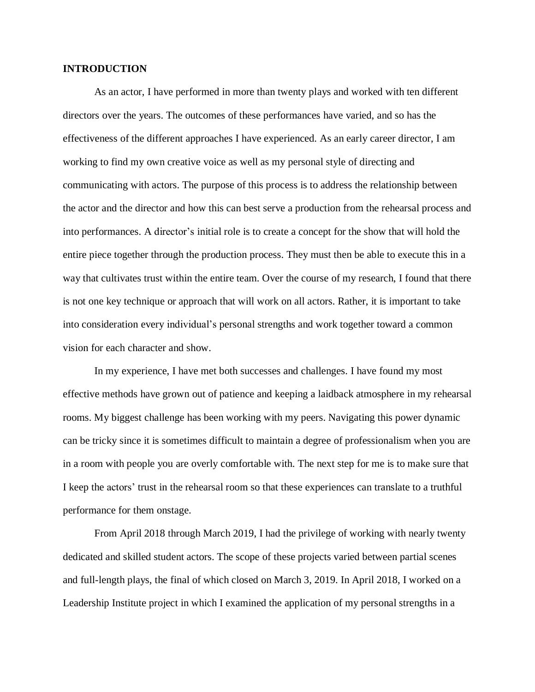# **INTRODUCTION**

As an actor, I have performed in more than twenty plays and worked with ten different directors over the years. The outcomes of these performances have varied, and so has the effectiveness of the different approaches I have experienced. As an early career director, I am working to find my own creative voice as well as my personal style of directing and communicating with actors. The purpose of this process is to address the relationship between the actor and the director and how this can best serve a production from the rehearsal process and into performances. A director's initial role is to create a concept for the show that will hold the entire piece together through the production process. They must then be able to execute this in a way that cultivates trust within the entire team. Over the course of my research, I found that there is not one key technique or approach that will work on all actors. Rather, it is important to take into consideration every individual's personal strengths and work together toward a common vision for each character and show.

In my experience, I have met both successes and challenges. I have found my most effective methods have grown out of patience and keeping a laidback atmosphere in my rehearsal rooms. My biggest challenge has been working with my peers. Navigating this power dynamic can be tricky since it is sometimes difficult to maintain a degree of professionalism when you are in a room with people you are overly comfortable with. The next step for me is to make sure that I keep the actors' trust in the rehearsal room so that these experiences can translate to a truthful performance for them onstage.

From April 2018 through March 2019, I had the privilege of working with nearly twenty dedicated and skilled student actors. The scope of these projects varied between partial scenes and full-length plays, the final of which closed on March 3, 2019. In April 2018, I worked on a Leadership Institute project in which I examined the application of my personal strengths in a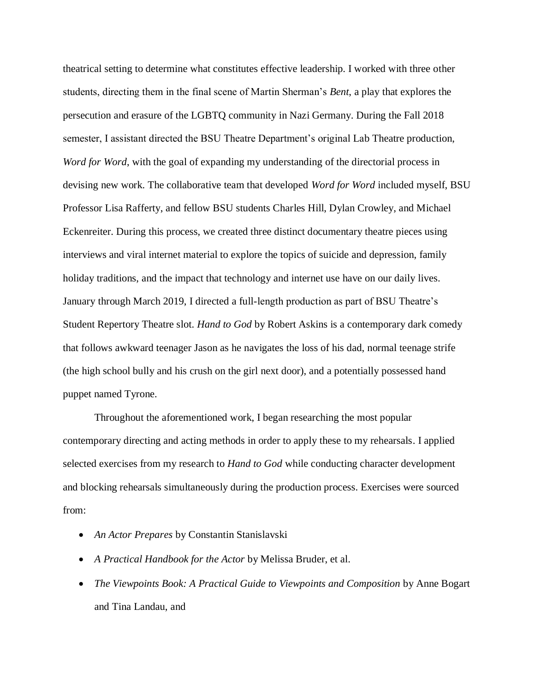theatrical setting to determine what constitutes effective leadership. I worked with three other students, directing them in the final scene of Martin Sherman's *Bent*, a play that explores the persecution and erasure of the LGBTQ community in Nazi Germany. During the Fall 2018 semester, I assistant directed the BSU Theatre Department's original Lab Theatre production, *Word for Word*, with the goal of expanding my understanding of the directorial process in devising new work. The collaborative team that developed *Word for Word* included myself, BSU Professor Lisa Rafferty, and fellow BSU students Charles Hill, Dylan Crowley, and Michael Eckenreiter. During this process, we created three distinct documentary theatre pieces using interviews and viral internet material to explore the topics of suicide and depression, family holiday traditions, and the impact that technology and internet use have on our daily lives. January through March 2019, I directed a full-length production as part of BSU Theatre's Student Repertory Theatre slot. *Hand to God* by Robert Askins is a contemporary dark comedy that follows awkward teenager Jason as he navigates the loss of his dad, normal teenage strife (the high school bully and his crush on the girl next door), and a potentially possessed hand puppet named Tyrone.

Throughout the aforementioned work, I began researching the most popular contemporary directing and acting methods in order to apply these to my rehearsals. I applied selected exercises from my research to *Hand to God* while conducting character development and blocking rehearsals simultaneously during the production process. Exercises were sourced from:

- *An Actor Prepares* by Constantin Stanislavski
- *A Practical Handbook for the Actor* by Melissa Bruder, et al.
- *The Viewpoints Book: A Practical Guide to Viewpoints and Composition* by Anne Bogart and Tina Landau, and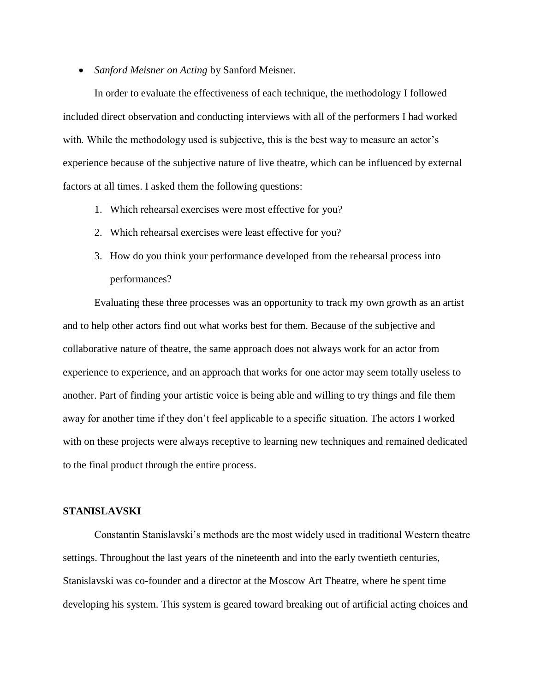• *Sanford Meisner on Acting* by Sanford Meisner.

In order to evaluate the effectiveness of each technique, the methodology I followed included direct observation and conducting interviews with all of the performers I had worked with. While the methodology used is subjective, this is the best way to measure an actor's experience because of the subjective nature of live theatre, which can be influenced by external factors at all times. I asked them the following questions:

- 1. Which rehearsal exercises were most effective for you?
- 2. Which rehearsal exercises were least effective for you?
- 3. How do you think your performance developed from the rehearsal process into performances?

Evaluating these three processes was an opportunity to track my own growth as an artist and to help other actors find out what works best for them. Because of the subjective and collaborative nature of theatre, the same approach does not always work for an actor from experience to experience, and an approach that works for one actor may seem totally useless to another. Part of finding your artistic voice is being able and willing to try things and file them away for another time if they don't feel applicable to a specific situation. The actors I worked with on these projects were always receptive to learning new techniques and remained dedicated to the final product through the entire process.

# **STANISLAVSKI**

Constantin Stanislavski's methods are the most widely used in traditional Western theatre settings. Throughout the last years of the nineteenth and into the early twentieth centuries, Stanislavski was co-founder and a director at the Moscow Art Theatre, where he spent time developing his system. This system is geared toward breaking out of artificial acting choices and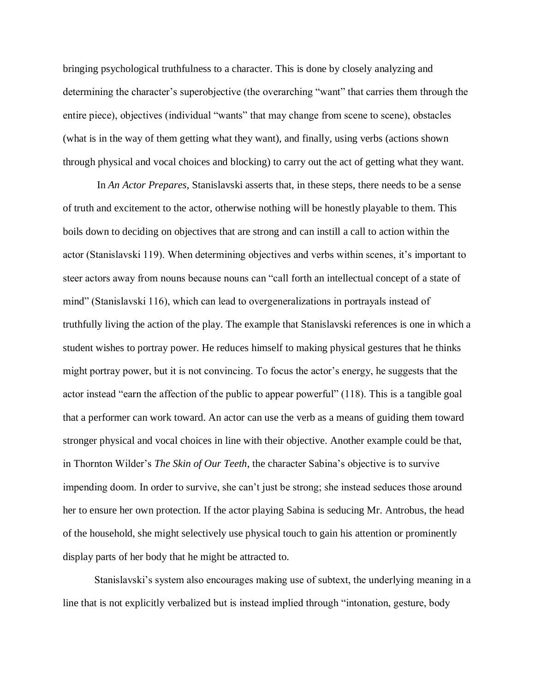bringing psychological truthfulness to a character. This is done by closely analyzing and determining the character's superobjective (the overarching "want" that carries them through the entire piece), objectives (individual "wants" that may change from scene to scene), obstacles (what is in the way of them getting what they want), and finally, using verbs (actions shown through physical and vocal choices and blocking) to carry out the act of getting what they want.

In *An Actor Prepares*, Stanislavski asserts that, in these steps, there needs to be a sense of truth and excitement to the actor, otherwise nothing will be honestly playable to them. This boils down to deciding on objectives that are strong and can instill a call to action within the actor (Stanislavski 119). When determining objectives and verbs within scenes, it's important to steer actors away from nouns because nouns can "call forth an intellectual concept of a state of mind" (Stanislavski 116), which can lead to overgeneralizations in portrayals instead of truthfully living the action of the play. The example that Stanislavski references is one in which a student wishes to portray power. He reduces himself to making physical gestures that he thinks might portray power, but it is not convincing. To focus the actor's energy, he suggests that the actor instead "earn the affection of the public to appear powerful" (118). This is a tangible goal that a performer can work toward. An actor can use the verb as a means of guiding them toward stronger physical and vocal choices in line with their objective. Another example could be that, in Thornton Wilder's *The Skin of Our Teeth*, the character Sabina's objective is to survive impending doom. In order to survive, she can't just be strong; she instead seduces those around her to ensure her own protection. If the actor playing Sabina is seducing Mr. Antrobus, the head of the household, she might selectively use physical touch to gain his attention or prominently display parts of her body that he might be attracted to.

Stanislavski's system also encourages making use of subtext, the underlying meaning in a line that is not explicitly verbalized but is instead implied through "intonation, gesture, body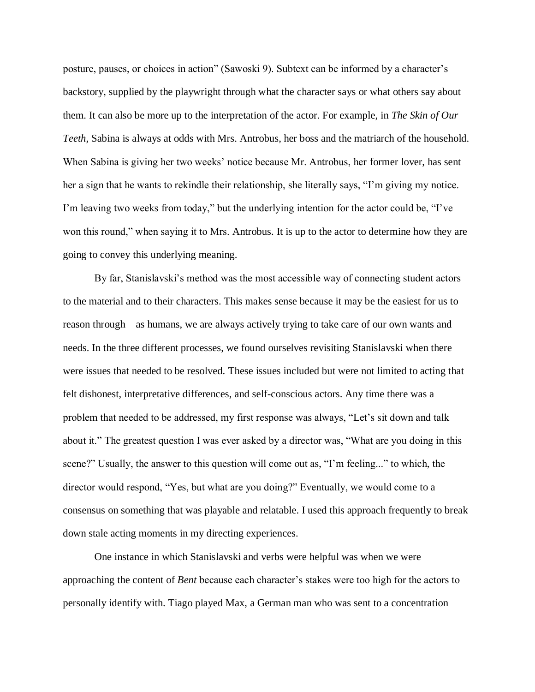posture, pauses, or choices in action" (Sawoski 9). Subtext can be informed by a character's backstory, supplied by the playwright through what the character says or what others say about them. It can also be more up to the interpretation of the actor. For example, in *The Skin of Our Teeth*, Sabina is always at odds with Mrs. Antrobus, her boss and the matriarch of the household. When Sabina is giving her two weeks' notice because Mr. Antrobus, her former lover, has sent her a sign that he wants to rekindle their relationship, she literally says, "I'm giving my notice. I'm leaving two weeks from today," but the underlying intention for the actor could be, "I've won this round," when saying it to Mrs. Antrobus. It is up to the actor to determine how they are going to convey this underlying meaning.

By far, Stanislavski's method was the most accessible way of connecting student actors to the material and to their characters. This makes sense because it may be the easiest for us to reason through – as humans, we are always actively trying to take care of our own wants and needs. In the three different processes, we found ourselves revisiting Stanislavski when there were issues that needed to be resolved. These issues included but were not limited to acting that felt dishonest, interpretative differences, and self-conscious actors. Any time there was a problem that needed to be addressed, my first response was always, "Let's sit down and talk about it." The greatest question I was ever asked by a director was, "What are you doing in this scene?" Usually, the answer to this question will come out as, "I'm feeling..." to which, the director would respond, "Yes, but what are you doing?" Eventually, we would come to a consensus on something that was playable and relatable. I used this approach frequently to break down stale acting moments in my directing experiences.

One instance in which Stanislavski and verbs were helpful was when we were approaching the content of *Bent* because each character's stakes were too high for the actors to personally identify with. Tiago played Max, a German man who was sent to a concentration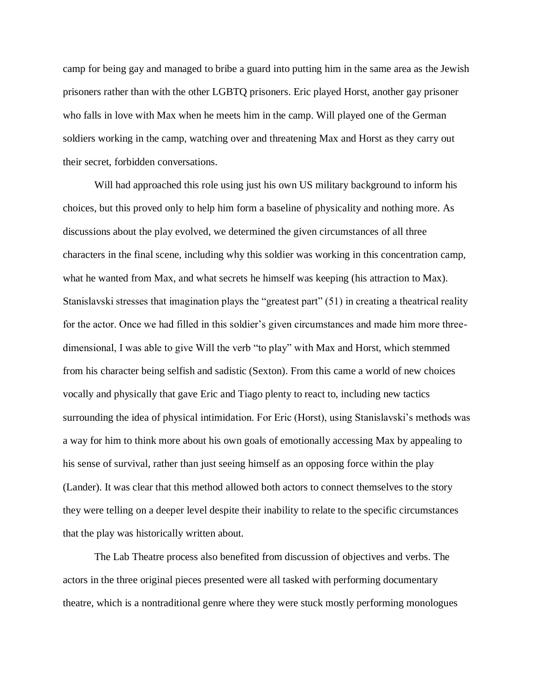camp for being gay and managed to bribe a guard into putting him in the same area as the Jewish prisoners rather than with the other LGBTQ prisoners. Eric played Horst, another gay prisoner who falls in love with Max when he meets him in the camp. Will played one of the German soldiers working in the camp, watching over and threatening Max and Horst as they carry out their secret, forbidden conversations.

Will had approached this role using just his own US military background to inform his choices, but this proved only to help him form a baseline of physicality and nothing more. As discussions about the play evolved, we determined the given circumstances of all three characters in the final scene, including why this soldier was working in this concentration camp, what he wanted from Max, and what secrets he himself was keeping (his attraction to Max). Stanislavski stresses that imagination plays the "greatest part" (51) in creating a theatrical reality for the actor. Once we had filled in this soldier's given circumstances and made him more threedimensional, I was able to give Will the verb "to play" with Max and Horst, which stemmed from his character being selfish and sadistic (Sexton). From this came a world of new choices vocally and physically that gave Eric and Tiago plenty to react to, including new tactics surrounding the idea of physical intimidation. For Eric (Horst), using Stanislavski's methods was a way for him to think more about his own goals of emotionally accessing Max by appealing to his sense of survival, rather than just seeing himself as an opposing force within the play (Lander). It was clear that this method allowed both actors to connect themselves to the story they were telling on a deeper level despite their inability to relate to the specific circumstances that the play was historically written about.

The Lab Theatre process also benefited from discussion of objectives and verbs. The actors in the three original pieces presented were all tasked with performing documentary theatre, which is a nontraditional genre where they were stuck mostly performing monologues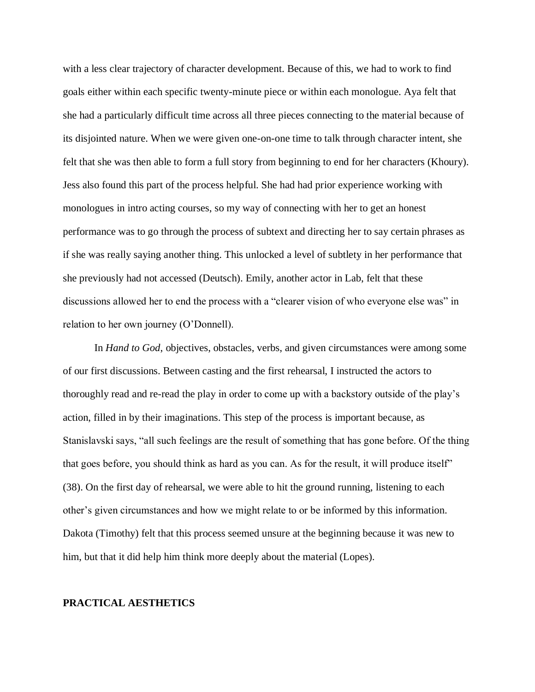with a less clear trajectory of character development. Because of this, we had to work to find goals either within each specific twenty-minute piece or within each monologue. Aya felt that she had a particularly difficult time across all three pieces connecting to the material because of its disjointed nature. When we were given one-on-one time to talk through character intent, she felt that she was then able to form a full story from beginning to end for her characters (Khoury). Jess also found this part of the process helpful. She had had prior experience working with monologues in intro acting courses, so my way of connecting with her to get an honest performance was to go through the process of subtext and directing her to say certain phrases as if she was really saying another thing. This unlocked a level of subtlety in her performance that she previously had not accessed (Deutsch). Emily, another actor in Lab, felt that these discussions allowed her to end the process with a "clearer vision of who everyone else was" in relation to her own journey (O'Donnell).

In *Hand to God*, objectives, obstacles, verbs, and given circumstances were among some of our first discussions. Between casting and the first rehearsal, I instructed the actors to thoroughly read and re-read the play in order to come up with a backstory outside of the play's action, filled in by their imaginations. This step of the process is important because, as Stanislavski says, "all such feelings are the result of something that has gone before. Of the thing that goes before, you should think as hard as you can. As for the result, it will produce itself" (38). On the first day of rehearsal, we were able to hit the ground running, listening to each other's given circumstances and how we might relate to or be informed by this information. Dakota (Timothy) felt that this process seemed unsure at the beginning because it was new to him, but that it did help him think more deeply about the material (Lopes).

### **PRACTICAL AESTHETICS**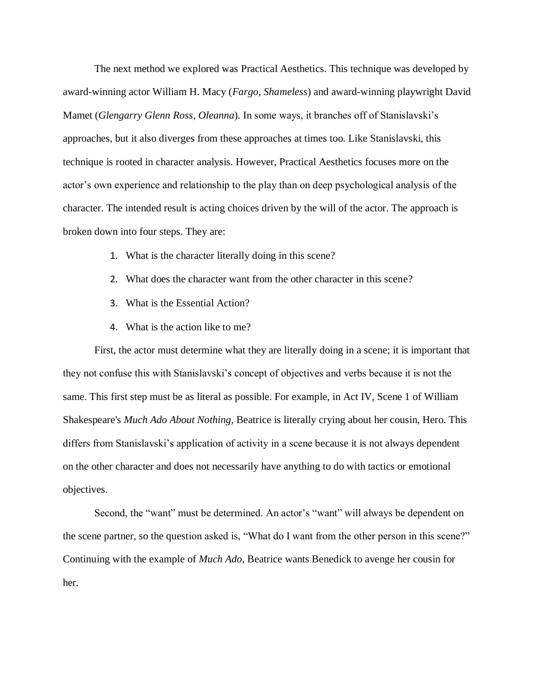The next method we explored was Practical Aesthetics. This technique was developed by award-winning actor William H. Macy (*Fargo*, *Shameless*) and award-winning playwright David Mamet (*Glengarry Glenn Ross*, *Oleanna*)*.* In some ways, it branches off of Stanislavski's approaches, but it also diverges from these approaches at times too. Like Stanislavski, this technique is rooted in character analysis. However, Practical Aesthetics focuses more on the actor's own experience and relationship to the play than on deep psychological analysis of the character. The intended result is acting choices driven by the will of the actor. The approach is broken down into four steps. They are:

- 1. What is the character literally doing in this scene?
- 2. What does the character want from the other character in this scene?
- 3. What is the Essential Action?
- 4. What is the action like to me?

First, the actor must determine what they are literally doing in a scene; it is important that they not confuse this with Stanislavski's concept of objectives and verbs because it is not the same. This first step must be as literal as possible. For example, in Act IV, Scene 1 of William Shakespeare's *Much Ado About Nothing*, Beatrice is literally crying about her cousin, Hero. This differs from Stanislavski's application of activity in a scene because it is not always dependent on the other character and does not necessarily have anything to do with tactics or emotional objectives.

Second, the "want" must be determined. An actor's "want" will always be dependent on the scene partner, so the question asked is, "What do I want from the other person in this scene?" Continuing with the example of *Much Ado*, Beatrice wants Benedick to avenge her cousin for her.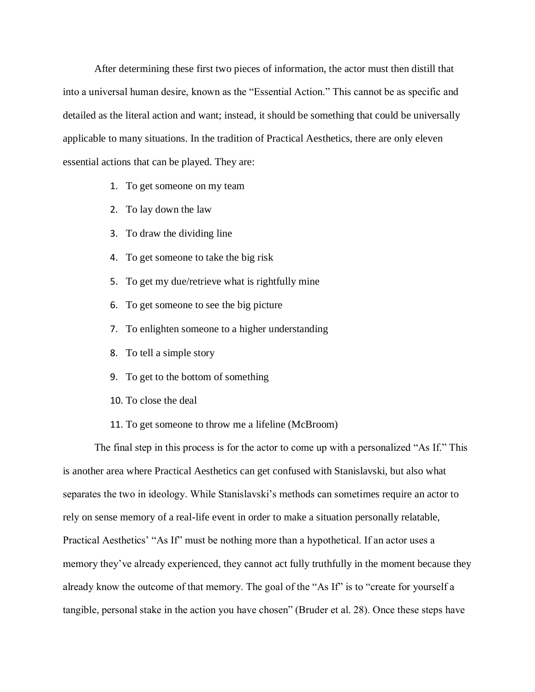After determining these first two pieces of information, the actor must then distill that into a universal human desire, known as the "Essential Action." This cannot be as specific and detailed as the literal action and want; instead, it should be something that could be universally applicable to many situations. In the tradition of Practical Aesthetics, there are only eleven essential actions that can be played. They are:

- 1. To get someone on my team
- 2. To lay down the law
- 3. To draw the dividing line
- 4. To get someone to take the big risk
- 5. To get my due/retrieve what is rightfully mine
- 6. To get someone to see the big picture
- 7. To enlighten someone to a higher understanding
- 8. To tell a simple story
- 9. To get to the bottom of something
- 10. To close the deal
- 11. To get someone to throw me a lifeline (McBroom)

The final step in this process is for the actor to come up with a personalized "As If." This is another area where Practical Aesthetics can get confused with Stanislavski, but also what separates the two in ideology. While Stanislavski's methods can sometimes require an actor to rely on sense memory of a real-life event in order to make a situation personally relatable, Practical Aesthetics' "As If" must be nothing more than a hypothetical. If an actor uses a memory they've already experienced, they cannot act fully truthfully in the moment because they already know the outcome of that memory. The goal of the "As If" is to "create for yourself a tangible, personal stake in the action you have chosen" (Bruder et al. 28). Once these steps have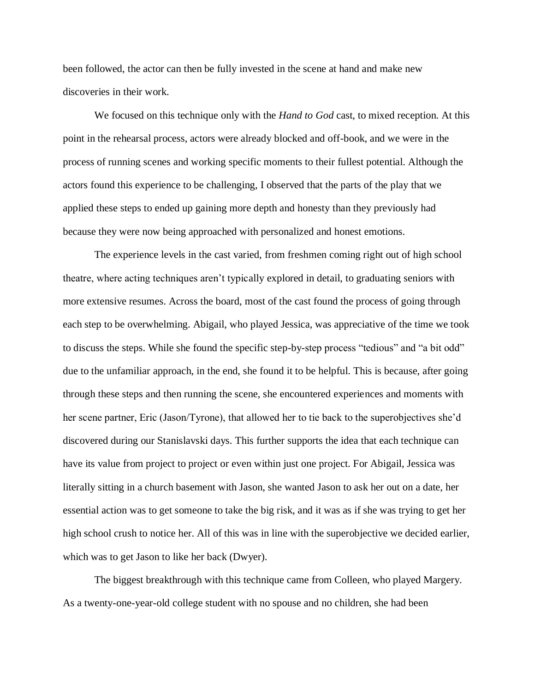been followed, the actor can then be fully invested in the scene at hand and make new discoveries in their work.

We focused on this technique only with the *Hand to God* cast, to mixed reception. At this point in the rehearsal process, actors were already blocked and off-book, and we were in the process of running scenes and working specific moments to their fullest potential. Although the actors found this experience to be challenging, I observed that the parts of the play that we applied these steps to ended up gaining more depth and honesty than they previously had because they were now being approached with personalized and honest emotions.

The experience levels in the cast varied, from freshmen coming right out of high school theatre, where acting techniques aren't typically explored in detail, to graduating seniors with more extensive resumes. Across the board, most of the cast found the process of going through each step to be overwhelming. Abigail, who played Jessica, was appreciative of the time we took to discuss the steps. While she found the specific step-by-step process "tedious" and "a bit odd" due to the unfamiliar approach, in the end, she found it to be helpful. This is because, after going through these steps and then running the scene, she encountered experiences and moments with her scene partner, Eric (Jason/Tyrone), that allowed her to tie back to the superobjectives she'd discovered during our Stanislavski days. This further supports the idea that each technique can have its value from project to project or even within just one project. For Abigail, Jessica was literally sitting in a church basement with Jason, she wanted Jason to ask her out on a date, her essential action was to get someone to take the big risk, and it was as if she was trying to get her high school crush to notice her. All of this was in line with the superobjective we decided earlier, which was to get Jason to like her back (Dwyer).

The biggest breakthrough with this technique came from Colleen, who played Margery. As a twenty-one-year-old college student with no spouse and no children, she had been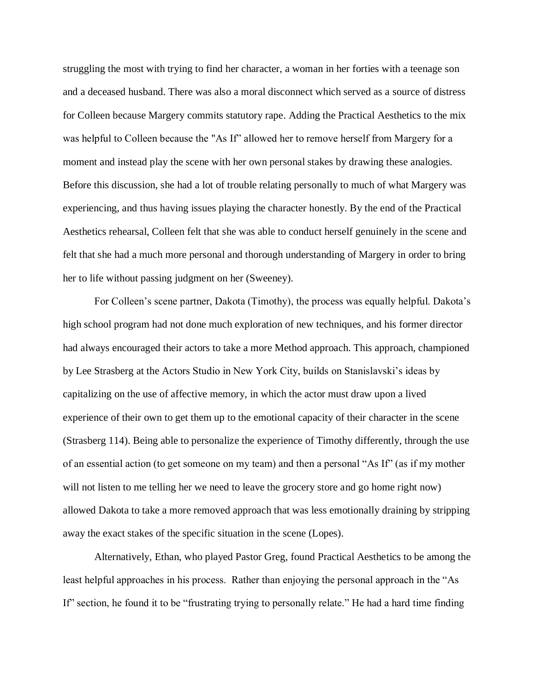struggling the most with trying to find her character, a woman in her forties with a teenage son and a deceased husband. There was also a moral disconnect which served as a source of distress for Colleen because Margery commits statutory rape. Adding the Practical Aesthetics to the mix was helpful to Colleen because the "As If" allowed her to remove herself from Margery for a moment and instead play the scene with her own personal stakes by drawing these analogies. Before this discussion, she had a lot of trouble relating personally to much of what Margery was experiencing, and thus having issues playing the character honestly. By the end of the Practical Aesthetics rehearsal, Colleen felt that she was able to conduct herself genuinely in the scene and felt that she had a much more personal and thorough understanding of Margery in order to bring her to life without passing judgment on her (Sweeney).

For Colleen's scene partner, Dakota (Timothy), the process was equally helpful. Dakota's high school program had not done much exploration of new techniques, and his former director had always encouraged their actors to take a more Method approach. This approach, championed by Lee Strasberg at the Actors Studio in New York City, builds on Stanislavski's ideas by capitalizing on the use of affective memory, in which the actor must draw upon a lived experience of their own to get them up to the emotional capacity of their character in the scene (Strasberg 114). Being able to personalize the experience of Timothy differently, through the use of an essential action (to get someone on my team) and then a personal "As If" (as if my mother will not listen to me telling her we need to leave the grocery store and go home right now) allowed Dakota to take a more removed approach that was less emotionally draining by stripping away the exact stakes of the specific situation in the scene (Lopes).

Alternatively, Ethan, who played Pastor Greg, found Practical Aesthetics to be among the least helpful approaches in his process. Rather than enjoying the personal approach in the "As If" section, he found it to be "frustrating trying to personally relate." He had a hard time finding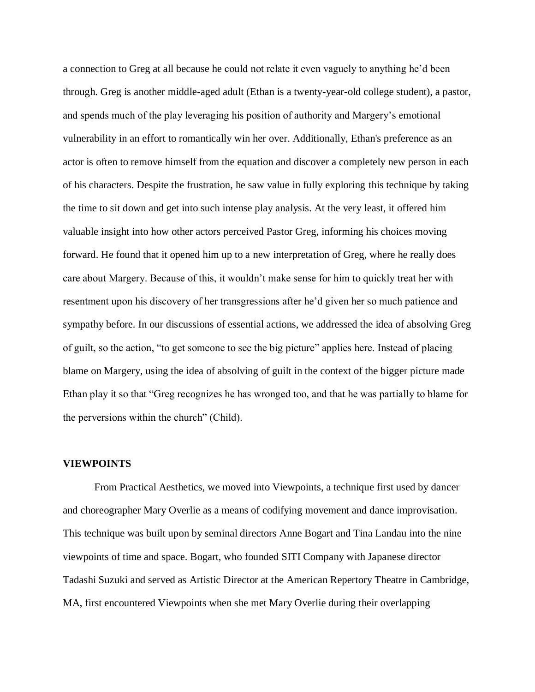a connection to Greg at all because he could not relate it even vaguely to anything he'd been through. Greg is another middle-aged adult (Ethan is a twenty-year-old college student), a pastor, and spends much of the play leveraging his position of authority and Margery's emotional vulnerability in an effort to romantically win her over. Additionally, Ethan's preference as an actor is often to remove himself from the equation and discover a completely new person in each of his characters. Despite the frustration, he saw value in fully exploring this technique by taking the time to sit down and get into such intense play analysis. At the very least, it offered him valuable insight into how other actors perceived Pastor Greg, informing his choices moving forward. He found that it opened him up to a new interpretation of Greg, where he really does care about Margery. Because of this, it wouldn't make sense for him to quickly treat her with resentment upon his discovery of her transgressions after he'd given her so much patience and sympathy before. In our discussions of essential actions, we addressed the idea of absolving Greg of guilt, so the action, "to get someone to see the big picture" applies here. Instead of placing blame on Margery, using the idea of absolving of guilt in the context of the bigger picture made Ethan play it so that "Greg recognizes he has wronged too, and that he was partially to blame for the perversions within the church" (Child).

### **VIEWPOINTS**

From Practical Aesthetics, we moved into Viewpoints, a technique first used by dancer and choreographer Mary Overlie as a means of codifying movement and dance improvisation. This technique was built upon by seminal directors Anne Bogart and Tina Landau into the nine viewpoints of time and space. Bogart, who founded SITI Company with Japanese director Tadashi Suzuki and served as Artistic Director at the American Repertory Theatre in Cambridge, MA, first encountered Viewpoints when she met Mary Overlie during their overlapping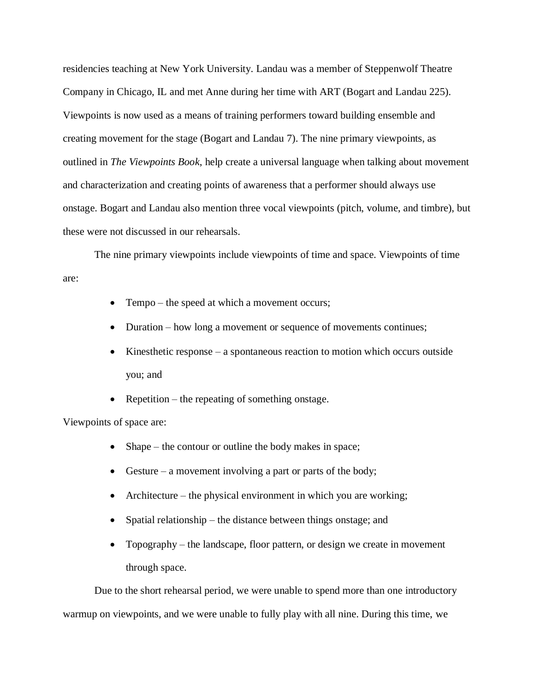residencies teaching at New York University. Landau was a member of Steppenwolf Theatre Company in Chicago, IL and met Anne during her time with ART (Bogart and Landau 225). Viewpoints is now used as a means of training performers toward building ensemble and creating movement for the stage (Bogart and Landau 7). The nine primary viewpoints, as outlined in *The Viewpoints Book*, help create a universal language when talking about movement and characterization and creating points of awareness that a performer should always use onstage. Bogart and Landau also mention three vocal viewpoints (pitch, volume, and timbre), but these were not discussed in our rehearsals.

The nine primary viewpoints include viewpoints of time and space. Viewpoints of time are:

- Tempo the speed at which a movement occurs;
- Duration how long a movement or sequence of movements continues;
- Kinesthetic response a spontaneous reaction to motion which occurs outside you; and
- Repetition the repeating of something onstage.

Viewpoints of space are:

- Shape the contour or outline the body makes in space;
- Gesture a movement involving a part or parts of the body;
- Architecture the physical environment in which you are working;
- Spatial relationship the distance between things onstage; and
- Topography the landscape, floor pattern, or design we create in movement through space.

Due to the short rehearsal period, we were unable to spend more than one introductory warmup on viewpoints, and we were unable to fully play with all nine. During this time, we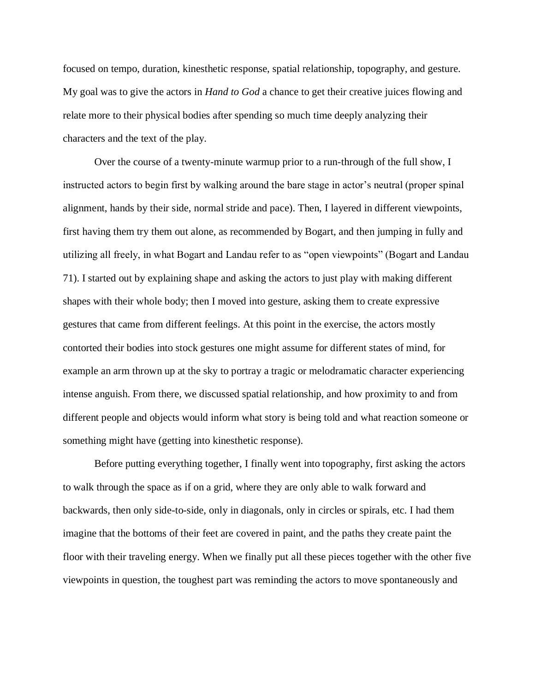focused on tempo, duration, kinesthetic response, spatial relationship, topography, and gesture. My goal was to give the actors in *Hand to God* a chance to get their creative juices flowing and relate more to their physical bodies after spending so much time deeply analyzing their characters and the text of the play.

Over the course of a twenty-minute warmup prior to a run-through of the full show, I instructed actors to begin first by walking around the bare stage in actor's neutral (proper spinal alignment, hands by their side, normal stride and pace). Then, I layered in different viewpoints, first having them try them out alone, as recommended by Bogart, and then jumping in fully and utilizing all freely, in what Bogart and Landau refer to as "open viewpoints" (Bogart and Landau 71). I started out by explaining shape and asking the actors to just play with making different shapes with their whole body; then I moved into gesture, asking them to create expressive gestures that came from different feelings. At this point in the exercise, the actors mostly contorted their bodies into stock gestures one might assume for different states of mind, for example an arm thrown up at the sky to portray a tragic or melodramatic character experiencing intense anguish. From there, we discussed spatial relationship, and how proximity to and from different people and objects would inform what story is being told and what reaction someone or something might have (getting into kinesthetic response).

Before putting everything together, I finally went into topography, first asking the actors to walk through the space as if on a grid, where they are only able to walk forward and backwards, then only side-to-side, only in diagonals, only in circles or spirals, etc. I had them imagine that the bottoms of their feet are covered in paint, and the paths they create paint the floor with their traveling energy. When we finally put all these pieces together with the other five viewpoints in question, the toughest part was reminding the actors to move spontaneously and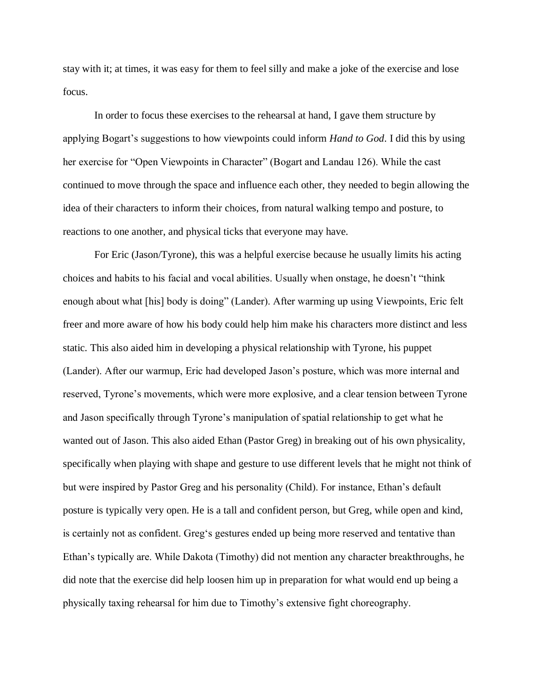stay with it; at times, it was easy for them to feel silly and make a joke of the exercise and lose focus.

In order to focus these exercises to the rehearsal at hand, I gave them structure by applying Bogart's suggestions to how viewpoints could inform *Hand to God*. I did this by using her exercise for "Open Viewpoints in Character" (Bogart and Landau 126). While the cast continued to move through the space and influence each other, they needed to begin allowing the idea of their characters to inform their choices, from natural walking tempo and posture, to reactions to one another, and physical ticks that everyone may have.

For Eric (Jason/Tyrone), this was a helpful exercise because he usually limits his acting choices and habits to his facial and vocal abilities. Usually when onstage, he doesn't "think enough about what [his] body is doing" (Lander). After warming up using Viewpoints, Eric felt freer and more aware of how his body could help him make his characters more distinct and less static. This also aided him in developing a physical relationship with Tyrone, his puppet (Lander). After our warmup, Eric had developed Jason's posture, which was more internal and reserved, Tyrone's movements, which were more explosive, and a clear tension between Tyrone and Jason specifically through Tyrone's manipulation of spatial relationship to get what he wanted out of Jason. This also aided Ethan (Pastor Greg) in breaking out of his own physicality, specifically when playing with shape and gesture to use different levels that he might not think of but were inspired by Pastor Greg and his personality (Child). For instance, Ethan's default posture is typically very open. He is a tall and confident person, but Greg, while open and kind, is certainly not as confident. Greg's gestures ended up being more reserved and tentative than Ethan's typically are. While Dakota (Timothy) did not mention any character breakthroughs, he did note that the exercise did help loosen him up in preparation for what would end up being a physically taxing rehearsal for him due to Timothy's extensive fight choreography.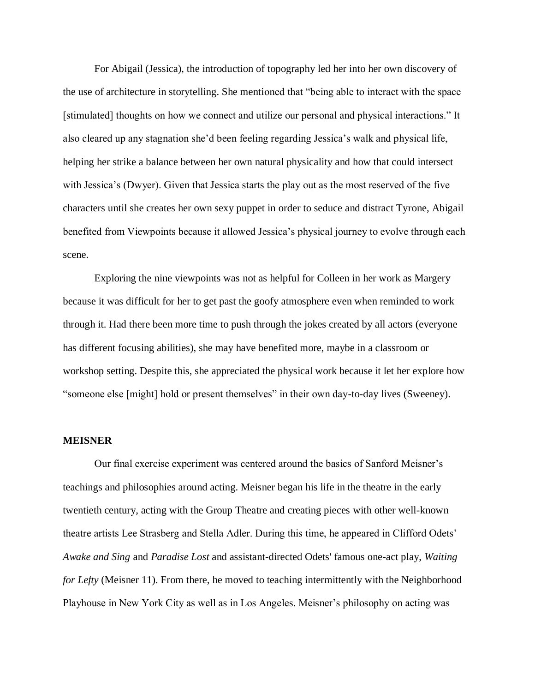For Abigail (Jessica), the introduction of topography led her into her own discovery of the use of architecture in storytelling. She mentioned that "being able to interact with the space [stimulated] thoughts on how we connect and utilize our personal and physical interactions." It also cleared up any stagnation she'd been feeling regarding Jessica's walk and physical life, helping her strike a balance between her own natural physicality and how that could intersect with Jessica's (Dwyer). Given that Jessica starts the play out as the most reserved of the five characters until she creates her own sexy puppet in order to seduce and distract Tyrone, Abigail benefited from Viewpoints because it allowed Jessica's physical journey to evolve through each scene.

Exploring the nine viewpoints was not as helpful for Colleen in her work as Margery because it was difficult for her to get past the goofy atmosphere even when reminded to work through it. Had there been more time to push through the jokes created by all actors (everyone has different focusing abilities), she may have benefited more, maybe in a classroom or workshop setting. Despite this, she appreciated the physical work because it let her explore how "someone else [might] hold or present themselves" in their own day-to-day lives (Sweeney).

#### **MEISNER**

Our final exercise experiment was centered around the basics of Sanford Meisner's teachings and philosophies around acting. Meisner began his life in the theatre in the early twentieth century, acting with the Group Theatre and creating pieces with other well-known theatre artists Lee Strasberg and Stella Adler. During this time, he appeared in Clifford Odets' *Awake and Sing* and *Paradise Lost* and assistant-directed Odets' famous one-act play, *Waiting for Lefty* (Meisner 11). From there, he moved to teaching intermittently with the Neighborhood Playhouse in New York City as well as in Los Angeles. Meisner's philosophy on acting was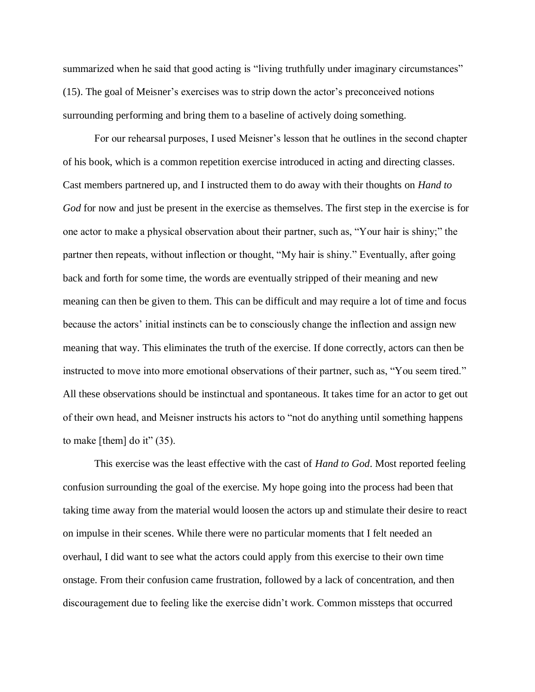summarized when he said that good acting is "living truthfully under imaginary circumstances" (15). The goal of Meisner's exercises was to strip down the actor's preconceived notions surrounding performing and bring them to a baseline of actively doing something.

For our rehearsal purposes, I used Meisner's lesson that he outlines in the second chapter of his book, which is a common repetition exercise introduced in acting and directing classes. Cast members partnered up, and I instructed them to do away with their thoughts on *Hand to God* for now and just be present in the exercise as themselves. The first step in the exercise is for one actor to make a physical observation about their partner, such as, "Your hair is shiny;" the partner then repeats, without inflection or thought, "My hair is shiny." Eventually, after going back and forth for some time, the words are eventually stripped of their meaning and new meaning can then be given to them. This can be difficult and may require a lot of time and focus because the actors' initial instincts can be to consciously change the inflection and assign new meaning that way. This eliminates the truth of the exercise. If done correctly, actors can then be instructed to move into more emotional observations of their partner, such as, "You seem tired." All these observations should be instinctual and spontaneous. It takes time for an actor to get out of their own head, and Meisner instructs his actors to "not do anything until something happens to make [them] do it"  $(35)$ .

This exercise was the least effective with the cast of *Hand to God*. Most reported feeling confusion surrounding the goal of the exercise. My hope going into the process had been that taking time away from the material would loosen the actors up and stimulate their desire to react on impulse in their scenes. While there were no particular moments that I felt needed an overhaul, I did want to see what the actors could apply from this exercise to their own time onstage. From their confusion came frustration, followed by a lack of concentration, and then discouragement due to feeling like the exercise didn't work. Common missteps that occurred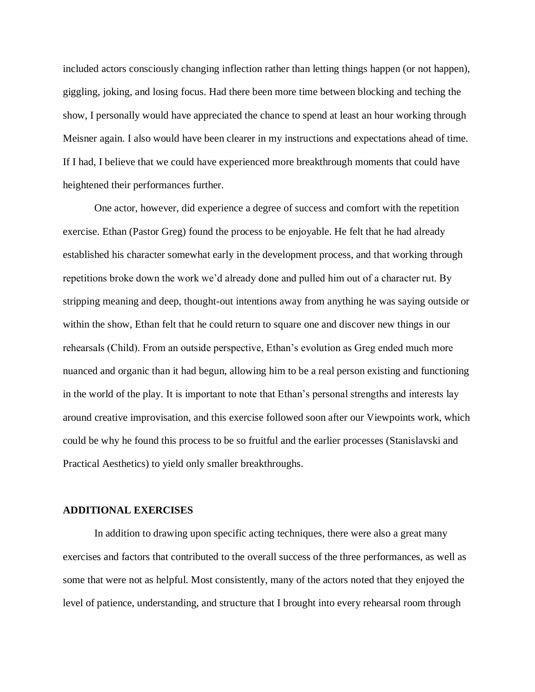included actors consciously changing inflection rather than letting things happen (or not happen), giggling, joking, and losing focus. Had there been more time between blocking and teching the show, I personally would have appreciated the chance to spend at least an hour working through Meisner again. I also would have been clearer in my instructions and expectations ahead of time. If I had, I believe that we could have experienced more breakthrough moments that could have heightened their performances further.

One actor, however, did experience a degree of success and comfort with the repetition exercise. Ethan (Pastor Greg) found the process to be enjoyable. He felt that he had already established his character somewhat early in the development process, and that working through repetitions broke down the work we'd already done and pulled him out of a character rut. By stripping meaning and deep, thought-out intentions away from anything he was saying outside or within the show, Ethan felt that he could return to square one and discover new things in our rehearsals (Child). From an outside perspective, Ethan's evolution as Greg ended much more nuanced and organic than it had begun, allowing him to be a real person existing and functioning in the world of the play. It is important to note that Ethan's personal strengths and interests lay around creative improvisation, and this exercise followed soon after our Viewpoints work, which could be why he found this process to be so fruitful and the earlier processes (Stanislavski and Practical Aesthetics) to yield only smaller breakthroughs.

#### **ADDITIONAL EXERCISES**

In addition to drawing upon specific acting techniques, there were also a great many exercises and factors that contributed to the overall success of the three performances, as well as some that were not as helpful. Most consistently, many of the actors noted that they enjoyed the level of patience, understanding, and structure that I brought into every rehearsal room through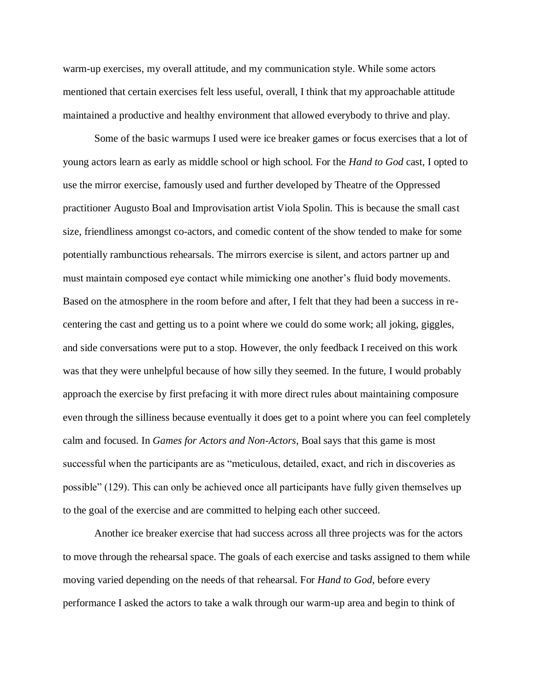warm-up exercises, my overall attitude, and my communication style. While some actors mentioned that certain exercises felt less useful, overall, I think that my approachable attitude maintained a productive and healthy environment that allowed everybody to thrive and play.

Some of the basic warmups I used were ice breaker games or focus exercises that a lot of young actors learn as early as middle school or high school. For the *Hand to God* cast, I opted to use the mirror exercise, famously used and further developed by Theatre of the Oppressed practitioner Augusto Boal and Improvisation artist Viola Spolin. This is because the small cast size, friendliness amongst co-actors, and comedic content of the show tended to make for some potentially rambunctious rehearsals. The mirrors exercise is silent, and actors partner up and must maintain composed eye contact while mimicking one another's fluid body movements. Based on the atmosphere in the room before and after, I felt that they had been a success in recentering the cast and getting us to a point where we could do some work; all joking, giggles, and side conversations were put to a stop. However, the only feedback I received on this work was that they were unhelpful because of how silly they seemed. In the future, I would probably approach the exercise by first prefacing it with more direct rules about maintaining composure even through the silliness because eventually it does get to a point where you can feel completely calm and focused. In *Games for Actors and Non-Actors,* Boal says that this game is most successful when the participants are as "meticulous, detailed, exact, and rich in discoveries as possible" (129). This can only be achieved once all participants have fully given themselves up to the goal of the exercise and are committed to helping each other succeed.

Another ice breaker exercise that had success across all three projects was for the actors to move through the rehearsal space. The goals of each exercise and tasks assigned to them while moving varied depending on the needs of that rehearsal. For *Hand to God*, before every performance I asked the actors to take a walk through our warm-up area and begin to think of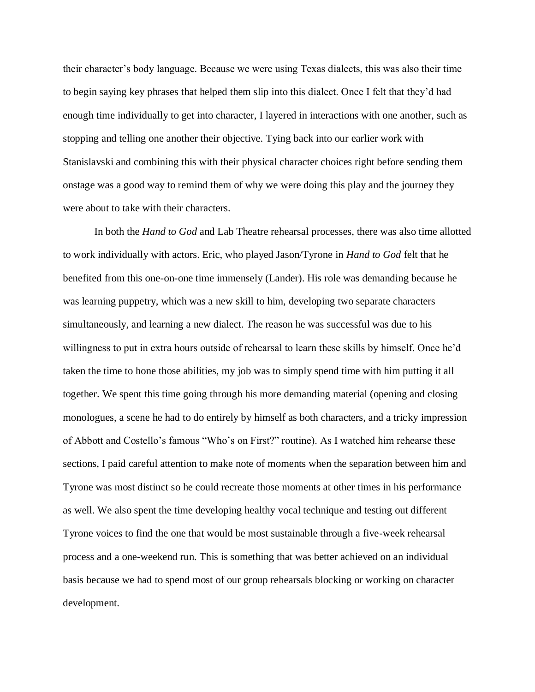their character's body language. Because we were using Texas dialects, this was also their time to begin saying key phrases that helped them slip into this dialect. Once I felt that they'd had enough time individually to get into character, I layered in interactions with one another, such as stopping and telling one another their objective. Tying back into our earlier work with Stanislavski and combining this with their physical character choices right before sending them onstage was a good way to remind them of why we were doing this play and the journey they were about to take with their characters.

In both the *Hand to God* and Lab Theatre rehearsal processes, there was also time allotted to work individually with actors. Eric, who played Jason/Tyrone in *Hand to God* felt that he benefited from this one-on-one time immensely (Lander). His role was demanding because he was learning puppetry, which was a new skill to him, developing two separate characters simultaneously, and learning a new dialect. The reason he was successful was due to his willingness to put in extra hours outside of rehearsal to learn these skills by himself. Once he'd taken the time to hone those abilities, my job was to simply spend time with him putting it all together. We spent this time going through his more demanding material (opening and closing monologues, a scene he had to do entirely by himself as both characters, and a tricky impression of Abbott and Costello's famous "Who's on First?" routine). As I watched him rehearse these sections, I paid careful attention to make note of moments when the separation between him and Tyrone was most distinct so he could recreate those moments at other times in his performance as well. We also spent the time developing healthy vocal technique and testing out different Tyrone voices to find the one that would be most sustainable through a five-week rehearsal process and a one-weekend run. This is something that was better achieved on an individual basis because we had to spend most of our group rehearsals blocking or working on character development.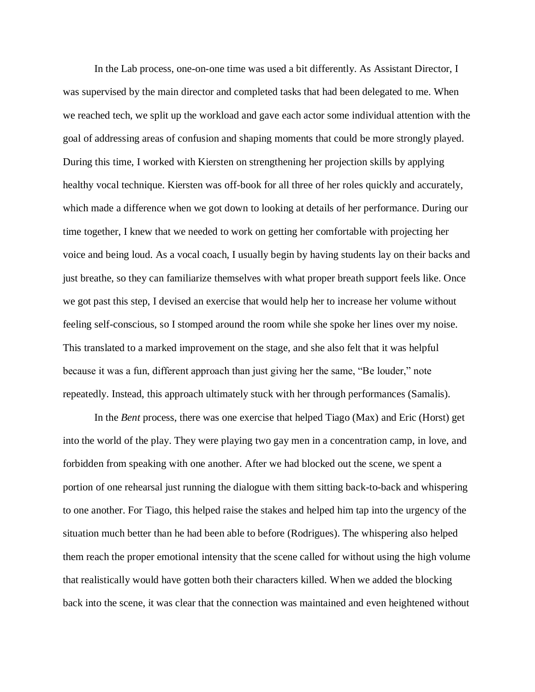In the Lab process, one-on-one time was used a bit differently. As Assistant Director, I was supervised by the main director and completed tasks that had been delegated to me. When we reached tech, we split up the workload and gave each actor some individual attention with the goal of addressing areas of confusion and shaping moments that could be more strongly played. During this time, I worked with Kiersten on strengthening her projection skills by applying healthy vocal technique. Kiersten was off-book for all three of her roles quickly and accurately, which made a difference when we got down to looking at details of her performance. During our time together, I knew that we needed to work on getting her comfortable with projecting her voice and being loud. As a vocal coach, I usually begin by having students lay on their backs and just breathe, so they can familiarize themselves with what proper breath support feels like. Once we got past this step, I devised an exercise that would help her to increase her volume without feeling self-conscious, so I stomped around the room while she spoke her lines over my noise. This translated to a marked improvement on the stage, and she also felt that it was helpful because it was a fun, different approach than just giving her the same, "Be louder," note repeatedly. Instead, this approach ultimately stuck with her through performances (Samalis).

In the *Bent* process, there was one exercise that helped Tiago (Max) and Eric (Horst) get into the world of the play. They were playing two gay men in a concentration camp, in love, and forbidden from speaking with one another. After we had blocked out the scene, we spent a portion of one rehearsal just running the dialogue with them sitting back-to-back and whispering to one another. For Tiago, this helped raise the stakes and helped him tap into the urgency of the situation much better than he had been able to before (Rodrigues). The whispering also helped them reach the proper emotional intensity that the scene called for without using the high volume that realistically would have gotten both their characters killed. When we added the blocking back into the scene, it was clear that the connection was maintained and even heightened without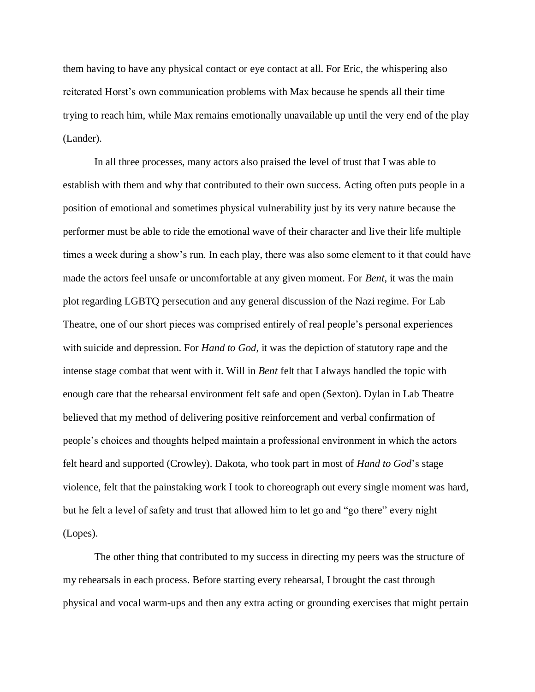them having to have any physical contact or eye contact at all. For Eric, the whispering also reiterated Horst's own communication problems with Max because he spends all their time trying to reach him, while Max remains emotionally unavailable up until the very end of the play (Lander).

In all three processes, many actors also praised the level of trust that I was able to establish with them and why that contributed to their own success. Acting often puts people in a position of emotional and sometimes physical vulnerability just by its very nature because the performer must be able to ride the emotional wave of their character and live their life multiple times a week during a show's run. In each play, there was also some element to it that could have made the actors feel unsafe or uncomfortable at any given moment. For *Bent*, it was the main plot regarding LGBTQ persecution and any general discussion of the Nazi regime. For Lab Theatre, one of our short pieces was comprised entirely of real people's personal experiences with suicide and depression. For *Hand to God*, it was the depiction of statutory rape and the intense stage combat that went with it. Will in *Bent* felt that I always handled the topic with enough care that the rehearsal environment felt safe and open (Sexton). Dylan in Lab Theatre believed that my method of delivering positive reinforcement and verbal confirmation of people's choices and thoughts helped maintain a professional environment in which the actors felt heard and supported (Crowley). Dakota, who took part in most of *Hand to God*'s stage violence, felt that the painstaking work I took to choreograph out every single moment was hard, but he felt a level of safety and trust that allowed him to let go and "go there" every night (Lopes).

The other thing that contributed to my success in directing my peers was the structure of my rehearsals in each process. Before starting every rehearsal, I brought the cast through physical and vocal warm-ups and then any extra acting or grounding exercises that might pertain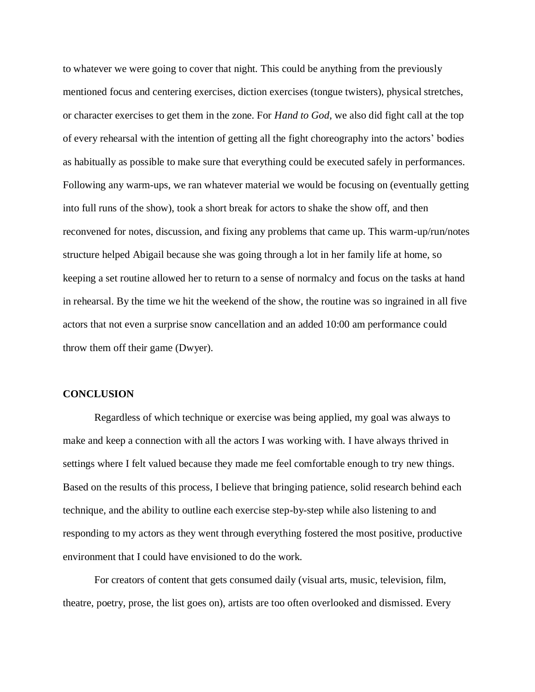to whatever we were going to cover that night. This could be anything from the previously mentioned focus and centering exercises, diction exercises (tongue twisters), physical stretches, or character exercises to get them in the zone. For *Hand to God*, we also did fight call at the top of every rehearsal with the intention of getting all the fight choreography into the actors' bodies as habitually as possible to make sure that everything could be executed safely in performances. Following any warm-ups, we ran whatever material we would be focusing on (eventually getting into full runs of the show), took a short break for actors to shake the show off, and then reconvened for notes, discussion, and fixing any problems that came up. This warm-up/run/notes structure helped Abigail because she was going through a lot in her family life at home, so keeping a set routine allowed her to return to a sense of normalcy and focus on the tasks at hand in rehearsal. By the time we hit the weekend of the show, the routine was so ingrained in all five actors that not even a surprise snow cancellation and an added 10:00 am performance could throw them off their game (Dwyer).

#### **CONCLUSION**

Regardless of which technique or exercise was being applied, my goal was always to make and keep a connection with all the actors I was working with. I have always thrived in settings where I felt valued because they made me feel comfortable enough to try new things. Based on the results of this process, I believe that bringing patience, solid research behind each technique, and the ability to outline each exercise step-by-step while also listening to and responding to my actors as they went through everything fostered the most positive, productive environment that I could have envisioned to do the work.

For creators of content that gets consumed daily (visual arts, music, television, film, theatre, poetry, prose, the list goes on), artists are too often overlooked and dismissed. Every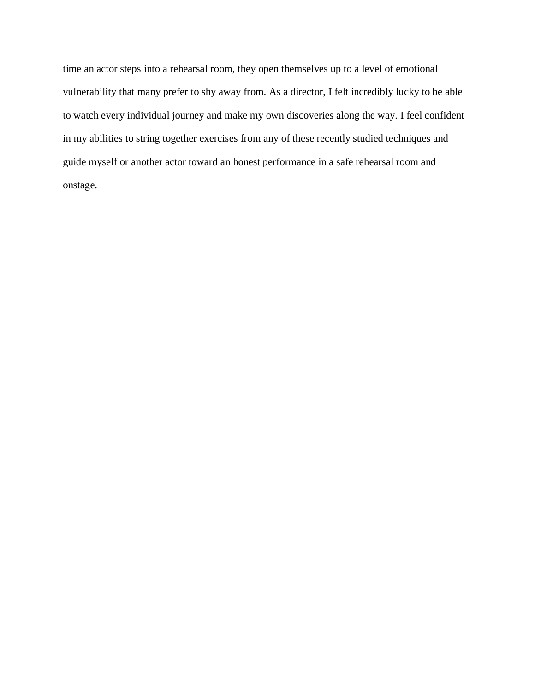time an actor steps into a rehearsal room, they open themselves up to a level of emotional vulnerability that many prefer to shy away from. As a director, I felt incredibly lucky to be able to watch every individual journey and make my own discoveries along the way. I feel confident in my abilities to string together exercises from any of these recently studied techniques and guide myself or another actor toward an honest performance in a safe rehearsal room and onstage.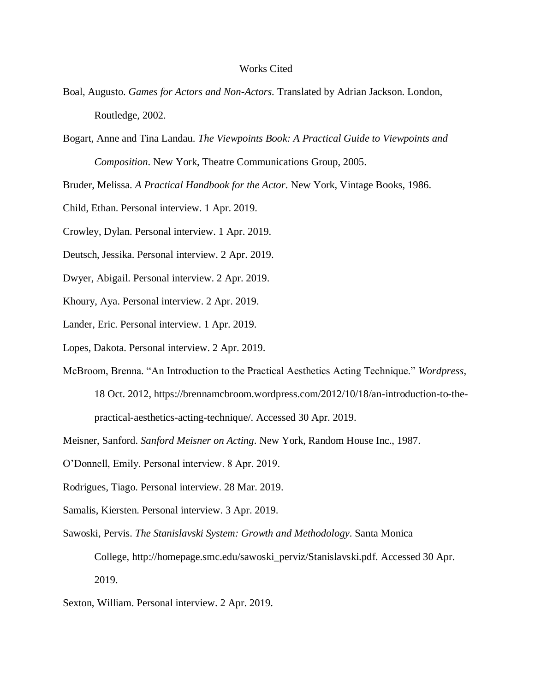## Works Cited

- Boal, Augusto. *Games for Actors and Non-Actors.* Translated by Adrian Jackson. London, Routledge, 2002.
- Bogart, Anne and Tina Landau. *The Viewpoints Book: A Practical Guide to Viewpoints and Composition*. New York, Theatre Communications Group, 2005.

Bruder, Melissa. *A Practical Handbook for the Actor.* New York, Vintage Books, 1986.

Child, Ethan. Personal interview. 1 Apr. 2019.

Crowley, Dylan. Personal interview. 1 Apr. 2019.

Deutsch, Jessika. Personal interview. 2 Apr. 2019.

Dwyer, Abigail. Personal interview. 2 Apr. 2019.

Khoury, Aya. Personal interview. 2 Apr. 2019.

Lander, Eric. Personal interview. 1 Apr. 2019.

Lopes, Dakota. Personal interview. 2 Apr. 2019.

McBroom, Brenna. "An Introduction to the Practical Aesthetics Acting Technique." *Wordpress*,

18 Oct. 2012, https://brennamcbroom.wordpress.com/2012/10/18/an-introduction-to-thepractical-aesthetics-acting-technique/. Accessed 30 Apr. 2019.

- O'Donnell, Emily. Personal interview. 8 Apr. 2019.
- Rodrigues, Tiago. Personal interview. 28 Mar. 2019.
- Samalis, Kiersten. Personal interview. 3 Apr. 2019.

Sawoski, Pervis. *The Stanislavski System: Growth and Methodology*. Santa Monica

College, http://homepage.smc.edu/sawoski\_perviz/Stanislavski.pdf. Accessed 30 Apr. 2019.

Sexton, William. Personal interview. 2 Apr. 2019.

Meisner, Sanford. *Sanford Meisner on Acting*. New York, Random House Inc., 1987.